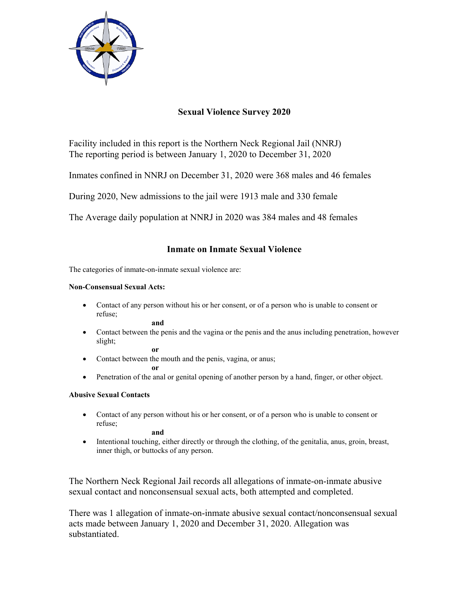

# **Sexual Violence Survey 2020**

Facility included in this report is the Northern Neck Regional Jail (NNRJ) The reporting period is between January 1, 2020 to December 31, 2020

Inmates confined in NNRJ on December 31, 2020 were 368 males and 46 females

During 2020, New admissions to the jail were 1913 male and 330 female

The Average daily population at NNRJ in 2020 was 384 males and 48 females

## **Inmate on Inmate Sexual Violence**

The categories of inmate-on-inmate sexual violence are:

### **Non-Consensual Sexual Acts:**

 Contact of any person without his or her consent, or of a person who is unable to consent or refuse;

**and**

 Contact between the penis and the vagina or the penis and the anus including penetration, however slight; **or** 

• Contact between the mouth and the penis, vagina, or anus;

**or** 

• Penetration of the anal or genital opening of another person by a hand, finger, or other object.

## **Abusive Sexual Contacts**

 Contact of any person without his or her consent, or of a person who is unable to consent or refuse;

**and** 

 Intentional touching, either directly or through the clothing, of the genitalia, anus, groin, breast, inner thigh, or buttocks of any person.

The Northern Neck Regional Jail records all allegations of inmate-on-inmate abusive sexual contact and nonconsensual sexual acts, both attempted and completed.

There was 1 allegation of inmate-on-inmate abusive sexual contact/nonconsensual sexual acts made between January 1, 2020 and December 31, 2020. Allegation was substantiated.